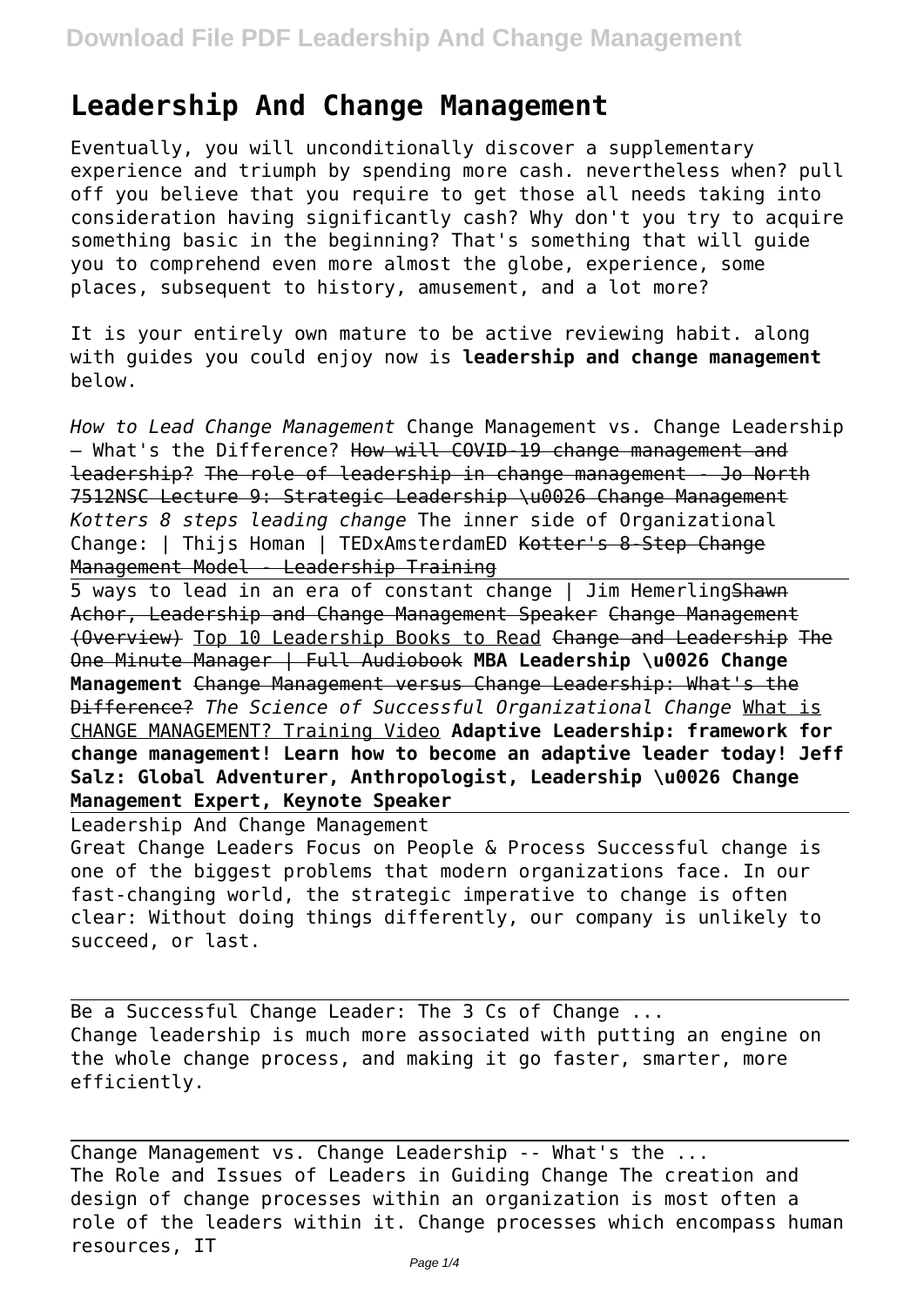## **Leadership And Change Management**

Eventually, you will unconditionally discover a supplementary experience and triumph by spending more cash. nevertheless when? pull off you believe that you require to get those all needs taking into consideration having significantly cash? Why don't you try to acquire something basic in the beginning? That's something that will guide you to comprehend even more almost the globe, experience, some places, subsequent to history, amusement, and a lot more?

It is your entirely own mature to be active reviewing habit. along with guides you could enjoy now is **leadership and change management** below.

*How to Lead Change Management* Change Management vs. Change Leadership - What's the Difference? How will COVID-19 change management and leadership? The role of leadership in change management - Jo North 7512NSC Lecture 9: Strategic Leadership \u0026 Change Management *Kotters 8 steps leading change* The inner side of Organizational Change: | Thijs Homan | TEDxAmsterdamED Kotter's 8-Step Change Management Model - Leadership Training

5 ways to lead in an era of constant change | Jim Hemerling Shawn Achor, Leadership and Change Management Speaker Change Management (Overview) Top 10 Leadership Books to Read Change and Leadership The One Minute Manager | Full Audiobook **MBA Leadership \u0026 Change Management** Change Management versus Change Leadership: What's the Difference? *The Science of Successful Organizational Change* What is CHANGE MANAGEMENT? Training Video **Adaptive Leadership: framework for change management! Learn how to become an adaptive leader today! Jeff Salz: Global Adventurer, Anthropologist, Leadership \u0026 Change Management Expert, Keynote Speaker**

Leadership And Change Management Great Change Leaders Focus on People & Process Successful change is one of the biggest problems that modern organizations face. In our fast-changing world, the strategic imperative to change is often clear: Without doing things differently, our company is unlikely to succeed, or last.

Be a Successful Change Leader: The 3 Cs of Change ... Change leadership is much more associated with putting an engine on the whole change process, and making it go faster, smarter, more efficiently.

Change Management vs. Change Leadership -- What's the ... The Role and Issues of Leaders in Guiding Change The creation and design of change processes within an organization is most often a role of the leaders within it. Change processes which encompass human resources, IT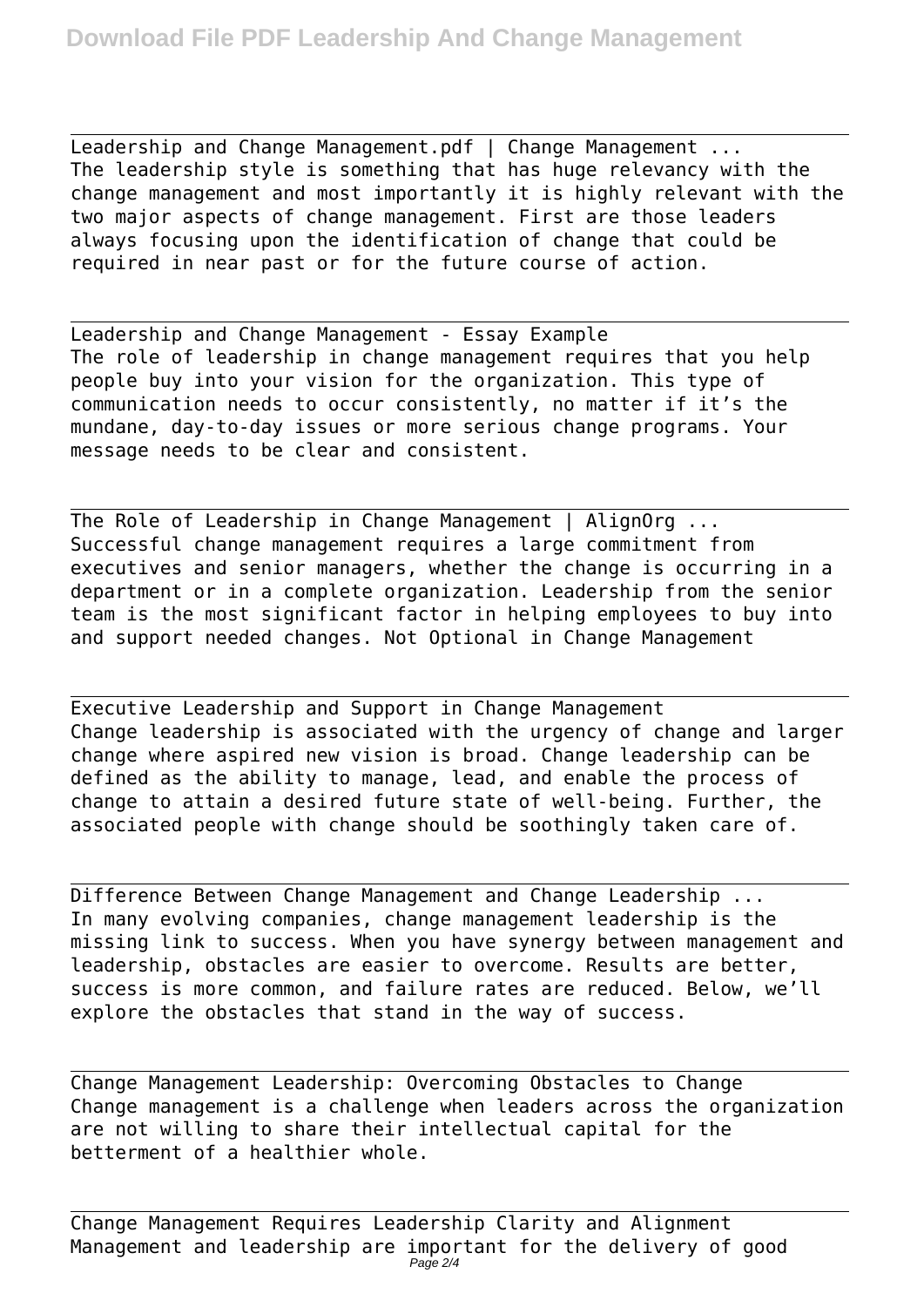Leadership and Change Management.pdf | Change Management ... The leadership style is something that has huge relevancy with the change management and most importantly it is highly relevant with the two major aspects of change management. First are those leaders always focusing upon the identification of change that could be required in near past or for the future course of action.

Leadership and Change Management - Essay Example The role of leadership in change management requires that you help people buy into your vision for the organization. This type of communication needs to occur consistently, no matter if it's the mundane, day-to-day issues or more serious change programs. Your message needs to be clear and consistent.

The Role of Leadership in Change Management | AlignOrg ... Successful change management requires a large commitment from executives and senior managers, whether the change is occurring in a department or in a complete organization. Leadership from the senior team is the most significant factor in helping employees to buy into and support needed changes. Not Optional in Change Management

Executive Leadership and Support in Change Management Change leadership is associated with the urgency of change and larger change where aspired new vision is broad. Change leadership can be defined as the ability to manage, lead, and enable the process of change to attain a desired future state of well-being. Further, the associated people with change should be soothingly taken care of.

Difference Between Change Management and Change Leadership ... In many evolving companies, change management leadership is the missing link to success. When you have synergy between management and leadership, obstacles are easier to overcome. Results are better, success is more common, and failure rates are reduced. Below, we'll explore the obstacles that stand in the way of success.

Change Management Leadership: Overcoming Obstacles to Change Change management is a challenge when leaders across the organization are not willing to share their intellectual capital for the betterment of a healthier whole.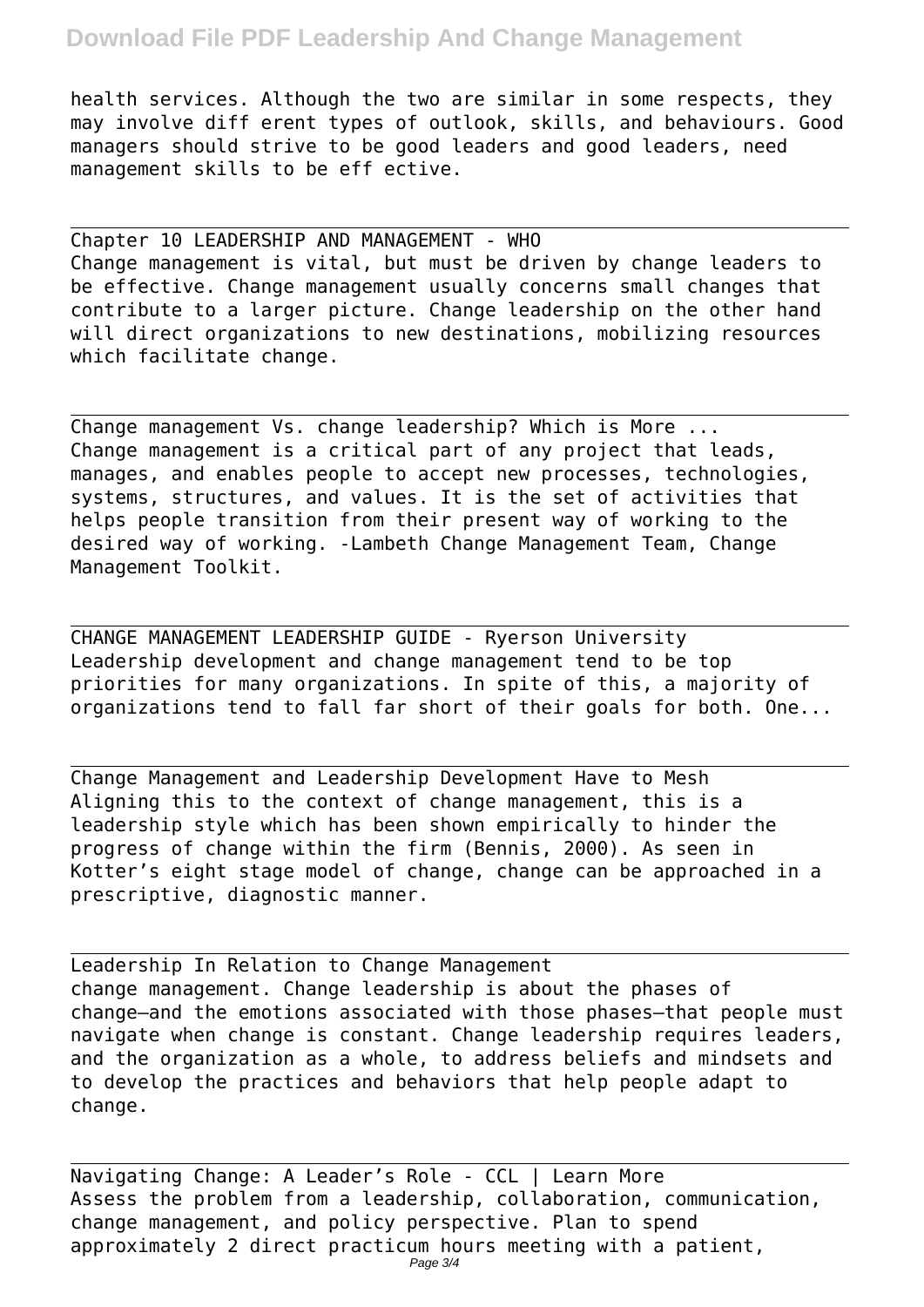## **Download File PDF Leadership And Change Management**

health services. Although the two are similar in some respects, they may involve diff erent types of outlook, skills, and behaviours. Good managers should strive to be good leaders and good leaders, need management skills to be eff ective.

Chapter 10 LEADERSHIP AND MANAGEMENT - WHO Change management is vital, but must be driven by change leaders to be effective. Change management usually concerns small changes that contribute to a larger picture. Change leadership on the other hand will direct organizations to new destinations, mobilizing resources which facilitate change.

Change management Vs. change leadership? Which is More ... Change management is a critical part of any project that leads, manages, and enables people to accept new processes, technologies, systems, structures, and values. It is the set of activities that helps people transition from their present way of working to the desired way of working. -Lambeth Change Management Team, Change Management Toolkit.

CHANGE MANAGEMENT LEADERSHIP GUIDE - Ryerson University Leadership development and change management tend to be top priorities for many organizations. In spite of this, a majority of organizations tend to fall far short of their goals for both. One...

Change Management and Leadership Development Have to Mesh Aligning this to the context of change management, this is a leadership style which has been shown empirically to hinder the progress of change within the firm (Bennis, 2000). As seen in Kotter's eight stage model of change, change can be approached in a prescriptive, diagnostic manner.

Leadership In Relation to Change Management change management. Change leadership is about the phases of change—and the emotions associated with those phases—that people must navigate when change is constant. Change leadership requires leaders, and the organization as a whole, to address beliefs and mindsets and to develop the practices and behaviors that help people adapt to change.

Navigating Change: A Leader's Role - CCL | Learn More Assess the problem from a leadership, collaboration, communication, change management, and policy perspective. Plan to spend approximately 2 direct practicum hours meeting with a patient, Page 3/4